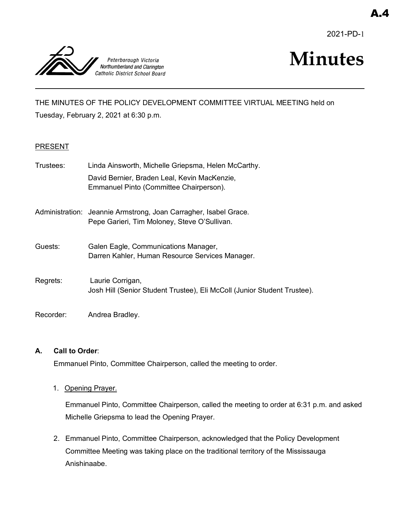2021-PD-1



# **Minutes**

THE MINUTES OF THE POLICY DEVELOPMENT COMMITTEE VIRTUAL MEETING held on Tuesday, February 2, 2021 at 6:30 p.m.

## PRESENT

| Trustees: | Linda Ainsworth, Michelle Griepsma, Helen McCarthy.                                                              |
|-----------|------------------------------------------------------------------------------------------------------------------|
|           | David Bernier, Braden Leal, Kevin MacKenzie,<br>Emmanuel Pinto (Committee Chairperson).                          |
|           | Administration: Jeannie Armstrong, Joan Carragher, Isabel Grace.<br>Pepe Garieri, Tim Moloney, Steve O'Sullivan. |
| Guests:   | Galen Eagle, Communications Manager,<br>Darren Kahler, Human Resource Services Manager.                          |
| Regrets:  | Laurie Corrigan,<br>Josh Hill (Senior Student Trustee), Eli McColl (Junior Student Trustee).                     |
| Recorder: | Andrea Bradley.                                                                                                  |

#### **A. Call to Order**:

Emmanuel Pinto, Committee Chairperson, called the meeting to order.

1. Opening Prayer.

Emmanuel Pinto, Committee Chairperson, called the meeting to order at 6:31 p.m. and asked Michelle Griepsma to lead the Opening Prayer.

2. Emmanuel Pinto, Committee Chairperson, acknowledged that the Policy Development Committee Meeting was taking place on the traditional territory of the Mississauga Anishinaabe.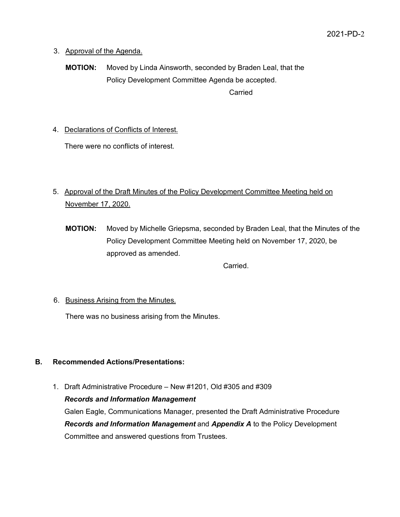- 3. Approval of the Agenda.
	- **MOTION:** Moved by Linda Ainsworth, seconded by Braden Leal, that the Policy Development Committee Agenda be accepted. Carried

4. Declarations of Conflicts of Interest.

There were no conflicts of interest.

# 5. Approval of the Draft Minutes of the Policy Development Committee Meeting held on November 17, 2020.

**MOTION:** Moved by Michelle Griepsma, seconded by Braden Leal, that the Minutes of the Policy Development Committee Meeting held on November 17, 2020, be approved as amended.

Carried.

# 6. Business Arising from the Minutes.

There was no business arising from the Minutes.

# **B. Recommended Actions/Presentations:**

1. Draft Administrative Procedure – New #1201, Old #305 and #309 *Records and Information Management*

Galen Eagle, Communications Manager, presented the Draft Administrative Procedure *Records and Information Management* and *Appendix A* to the Policy Development Committee and answered questions from Trustees.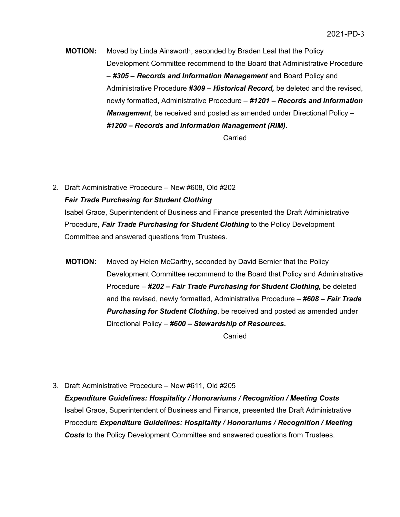**MOTION:** Moved by Linda Ainsworth, seconded by Braden Leal that the Policy Development Committee recommend to the Board that Administrative Procedure – *#305 – Records and Information Management* and Board Policy and Administrative Procedure *#309 – Historical Record,* be deleted and the revised, newly formatted, Administrative Procedure – *#1201 – Records and Information Management*, be received and posted as amended under Directional Policy – *#1200 – Records and Information Management (RIM)*.

Carried

2. Draft Administrative Procedure – New #608, Old #202 *Fair Trade Purchasing for Student Clothing*

Isabel Grace, Superintendent of Business and Finance presented the Draft Administrative Procedure, *Fair Trade Purchasing for Student Clothing* to the Policy Development Committee and answered questions from Trustees.

**MOTION:** Moved by Helen McCarthy, seconded by David Bernier that the Policy Development Committee recommend to the Board that Policy and Administrative Procedure – *#202 – Fair Trade Purchasing for Student Clothing,* be deleted and the revised, newly formatted, Administrative Procedure – *#608 – Fair Trade Purchasing for Student Clothing*, be received and posted as amended under Directional Policy – *#600 – Stewardship of Resources.*

**Carried** 

3. Draft Administrative Procedure – New #611, Old #205

*Expenditure Guidelines: Hospitality / Honorariums / Recognition / Meeting Costs* Isabel Grace, Superintendent of Business and Finance, presented the Draft Administrative Procedure *Expenditure Guidelines: Hospitality / Honorariums / Recognition / Meeting Costs* to the Policy Development Committee and answered questions from Trustees.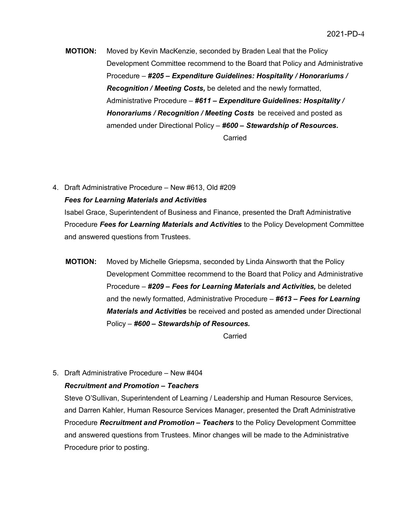**MOTION:** Moved by Kevin MacKenzie, seconded by Braden Leal that the Policy Development Committee recommend to the Board that Policy and Administrative Procedure – *#205 – Expenditure Guidelines: Hospitality / Honorariums / Recognition / Meeting Costs,* be deleted and the newly formatted, Administrative Procedure – *#611 – Expenditure Guidelines: Hospitality / Honorariums / Recognition / Meeting Costs* be received and posted as amended under Directional Policy – *#600 – Stewardship of Resources.* Carried

4. Draft Administrative Procedure – New #613, Old #209 *Fees for Learning Materials and Activities*

Isabel Grace, Superintendent of Business and Finance, presented the Draft Administrative Procedure *Fees for Learning Materials and Activities* to the Policy Development Committee and answered questions from Trustees.

**MOTION:** Moved by Michelle Griepsma, seconded by Linda Ainsworth that the Policy Development Committee recommend to the Board that Policy and Administrative Procedure – *#209 – Fees for Learning Materials and Activities,* be deleted and the newly formatted, Administrative Procedure – *#613 – Fees for Learning Materials and Activities* be received and posted as amended under Directional Policy – *#600 – Stewardship of Resources.*

**Carried** 

5. Draft Administrative Procedure – New #404

#### *Recruitment and Promotion – Teachers*

Steve O'Sullivan, Superintendent of Learning / Leadership and Human Resource Services, and Darren Kahler, Human Resource Services Manager, presented the Draft Administrative Procedure *Recruitment and Promotion – Teachers* to the Policy Development Committee and answered questions from Trustees. Minor changes will be made to the Administrative Procedure prior to posting.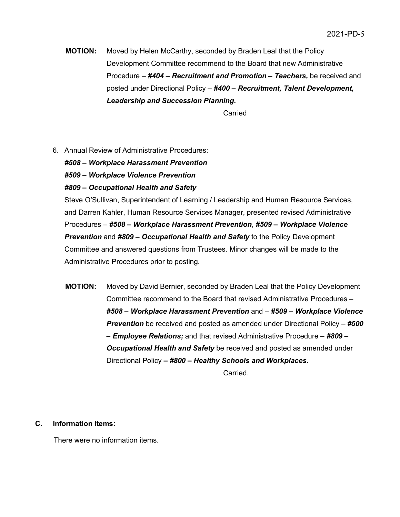**MOTION:** Moved by Helen McCarthy, seconded by Braden Leal that the Policy Development Committee recommend to the Board that new Administrative Procedure – *#404 – Recruitment and Promotion – Teachers,* be received and posted under Directional Policy – *#400 – Recruitment, Talent Development, Leadership and Succession Planning.*

Carried

6. Annual Review of Administrative Procedures:

*#508 – Workplace Harassment Prevention*

*#509 – Workplace Violence Prevention*

#### *#809 – Occupational Health and Safety*

Steve O'Sullivan, Superintendent of Learning / Leadership and Human Resource Services, and Darren Kahler, Human Resource Services Manager, presented revised Administrative Procedures – *#508 – Workplace Harassment Prevention*, *#509 – Workplace Violence Prevention* and *#809 – Occupational Health and Safety* to the Policy Development Committee and answered questions from Trustees. Minor changes will be made to the Administrative Procedures prior to posting.

**MOTION:** Moved by David Bernier, seconded by Braden Leal that the Policy Development Committee recommend to the Board that revised Administrative Procedures – *#508 – Workplace Harassment Prevention* and – *#509 – Workplace Violence Prevention* be received and posted as amended under Directional Policy – *#500 – Employee Relations;* and that revised Administrative Procedure – *#809 – Occupational Health and Safety* be received and posted as amended under Directional Policy *– #800 – Healthy Schools and Workplaces*. Carried.

**C. Information Items:** 

There were no information items.